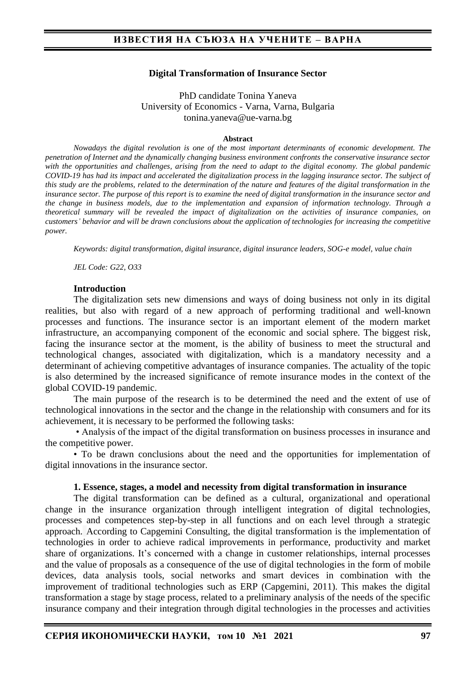### **Digital Transformation of Insurance Sector**

PhD candidate Tonina Yaneva University of Economics - Varna, Varna, Bulgaria tonina.yaneva@ue-varna.bg

#### **Abstract**

*Nowadays the digital revolution is one of the most important determinants of economic development. The penetration of Internet and the dynamically changing business environment confronts the conservative insurance sector with the opportunities and challenges, arising from the need to adapt to the digital economy. The global pandemic COVID-19 has had its impact and accelerated the digitalization process in the lagging insurance sector. The subject of this study are the problems, related to the determination of the nature and features of the digital transformation in the insurance sector. The purpose of this report is to examine the need of digital transformation in the insurance sector and the change in business models, due to the implementation and expansion of information technology. Through a theoretical summary will be revealed the impact of digitalization on the activities of insurance companies, on customers' behavior and will be drawn conclusions about the application of technologies for increasing the competitive power.*

*Keywords: digital transformation, digital insurance, digital insurance leaders, SOG-e model, value chain*

*JEL Code: G22, O33*

#### **Introduction**

The digitalization sets new dimensions and ways of doing business not only in its digital realities, but also with regard of a new approach of performing traditional and well-known processes and functions. The insurance sector is an important element of the modern market infrastructure, an accompanying component of the economic and social sphere. The biggest risk, facing the insurance sector at the moment, is the ability of business to meet the structural and technological changes, associated with digitalization, which is a mandatory necessity and a determinant of achieving competitive advantages of insurance companies. The actuality of the topic is also determined by the increased significance of remote insurance modes in the context of the global COVID-19 pandemic.

The main purpose of the research is to be determined the need and the extent of use of technological innovations in the sector and the change in the relationship with consumers and for its achievement, it is necessary to be performed the following tasks:

• Analysis of the impact of the digital transformation on business processes in insurance and the competitive power.

• To be drawn conclusions about the need and the opportunities for implementation of digital innovations in the insurance sector.

### **1. Essence, stages, a model and necessity from digital transformation in insurance**

The digital transformation can be defined as a cultural, organizational and operational change in the insurance organization through intelligent integration of digital technologies, processes and competences step-by-step in all functions and on each level through a strategic approach. According to Capgemini Consulting, the digital transformation is the implementation of technologies in order to achieve radical improvements in performance, productivity and market share of organizations. It's concerned with a change in customer relationships, internal processes and the value of proposals as a consequence of the use of digital technologies in the form of mobile devices, data analysis tools, social networks and smart devices in combination with the improvement of traditional technologies such as ERP (Capgemini, 2011). This makes the digital transformation a stage by stage process, related to a preliminary analysis of the needs of the specific insurance company and their integration through digital technologies in the processes and activities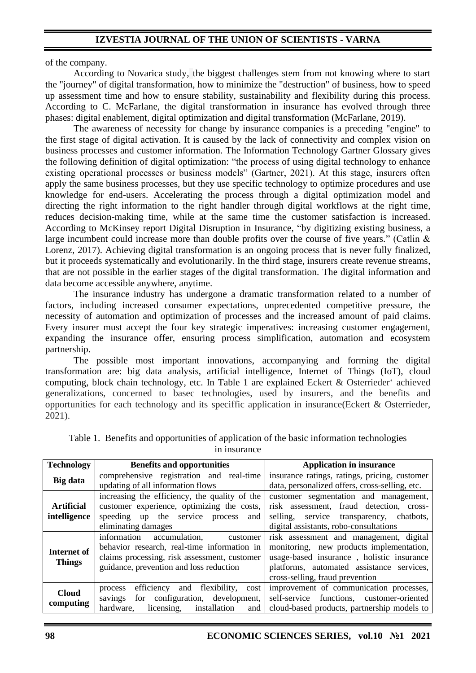of the company.

According to Novarica study, the biggest challenges stem from not knowing where to start the "journey" of digital transformation, how to minimize the "destruction" of business, how to speed up assessment time and how to ensure stability, sustainability and flexibility during this process. According to C. McFarlane, the digital transformation in insurance has evolved through three phases: digital enablement, digital optimization and digital transformation (McFarlane, 2019).

The awareness of necessity for change by insurance companies is a preceding "engine" to the first stage of digital activation. It is caused by the lack of connectivity and complex vision on business processes and customer information. The Information Technology Gartner Glossary gives the following definition of digital optimization: "the process of using digital technology to enhance existing operational processes or business models" (Gartner, 2021). At this stage, insurers often apply the same business processes, but they use specific technology to optimize procedures and use knowledge for end-users. Accelerating the process through a digital optimization model and directing the right information to the right handler through digital workflows at the right time, reduces decision-making time, while at the same time the customer satisfaction is increased. According to McKinsey report Digital Disruption in Insurance, "by digitizing existing business, a large incumbent could increase more than double profits over the course of five years." (Catlin & Lorenz, 2017). Achieving digital transformation is an ongoing process that is never fully finalized, but it proceeds systematically and evolutionarily. In the third stage, insurers create revenue streams, that are not possible in the earlier stages of the digital transformation. The digital information and data become accessible anywhere, anytime.

The insurance industry has undergone a dramatic transformation related to a number of factors, including increased consumer expectations, unprecedented competitive pressure, the necessity of automation and optimization of processes and the increased amount of paid claims. Every insurer must accept the four key strategic imperatives: increasing customer engagement, expanding the insurance offer, ensuring process simplification, automation and ecosystem partnership.

The possible most important innovations, accompanying and forming the digital transformation are: big data analysis, artificial intelligence, Internet of Things (IoT), cloud computing, block chain technology, etc. In Table 1 are explained Eckert & Osterrieder' achieved generalizations, concerned to basec technologies, used by insurers, and the benefits and opportunities for each technology and its speciffic application in insurance(Eckert & Osterrieder, 2021).

| <b>Technology</b>                 | <b>Benefits and opportunities</b>                    | <b>Application in insurance</b>                |
|-----------------------------------|------------------------------------------------------|------------------------------------------------|
| <b>Big</b> data                   | comprehensive registration and real-time             | insurance ratings, ratings, pricing, customer  |
|                                   | updating of all information flows                    | data, personalized offers, cross-selling, etc. |
|                                   | increasing the efficiency, the quality of the        | customer segmentation and management,          |
| <b>Artificial</b><br>intelligence | customer experience, optimizing the costs,           | risk assessment, fraud detection, cross-       |
|                                   | speeding up the service process<br>and               | selling,<br>service transparency,<br>chatbots, |
|                                   | eliminating damages                                  | digital assistants, robo-consultations         |
| Internet of<br><b>Things</b>      | information<br>accumulation,<br>customer             | risk assessment and management, digital        |
|                                   | behavior research, real-time information in          | monitoring, new products implementation,       |
|                                   | claims processing, risk assessment, customer         | usage-based insurance, holistic insurance      |
|                                   | guidance, prevention and loss reduction              | platforms, automated assistance services,      |
|                                   |                                                      | cross-selling, fraud prevention                |
| <b>Cloud</b><br>computing         | flexibility,<br>efficiency<br>and<br>cost<br>process | improvement of communication processes,        |
|                                   | for configuration, development,<br>savings           | self-service functions, customer-oriented      |
|                                   | installation<br>hardware,<br>licensing,<br>and       | cloud-based products, partnership models to    |

Table 1. Benefits and opportunities of application of the basic information technologies in insurance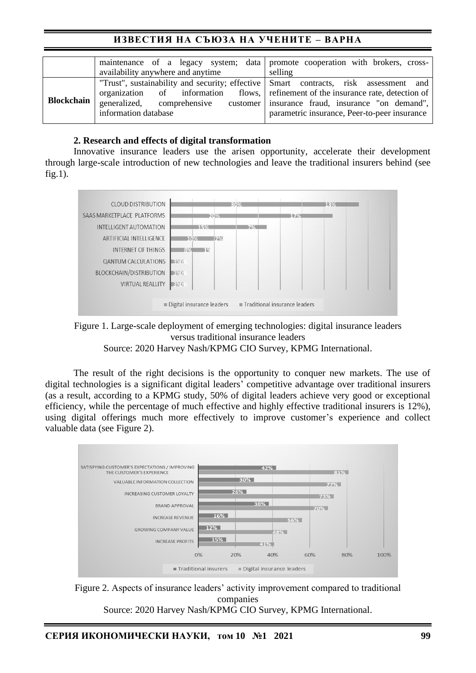# **ИЗВЕСТИЯ НА СЪЮЗА НА УЧЕНИТЕ – ВАРНА**

|                   | maintenance of a legacy system; data   promote cooperation with brokers, cross-<br>availability anywhere and anytime                                                                                                            | selling                                                                                            |
|-------------------|---------------------------------------------------------------------------------------------------------------------------------------------------------------------------------------------------------------------------------|----------------------------------------------------------------------------------------------------|
| <b>Blockchain</b> | "Trust", sustainability and security; effective Smart contracts, risk assessment and<br>organization of information flows, refinement of the insurance rate, detection of<br>generalized, comprehensive<br>information database | customer   insurance fraud, insurance "on demand",<br>parametric insurance, Peer-to-peer insurance |

## **2. Research and effects of digital transformation**

Innovative insurance leaders use the arisen opportunity, accelerate their development through large-scale introduction of new technologies and leave the traditional insurers behind (see fig.1).



Figure 1. Large-scale deployment of emerging technologies: digital insurance leaders versus traditional insurance leaders Source: 2020 Harvey Nash/KPMG CIO Survey, KPMG International.

The result of the right decisions is the opportunity to conquer new markets. The use of digital technologies is a significant digital leaders' competitive advantage over traditional insurers (as a result, according to a KPMG study, 50% of digital leaders achieve very good or exceptional efficiency, while the percentage of much effective and highly effective traditional insurers is 12%), using digital offerings much more effectively to improve customer's experience and collect valuable data (see Figure 2).



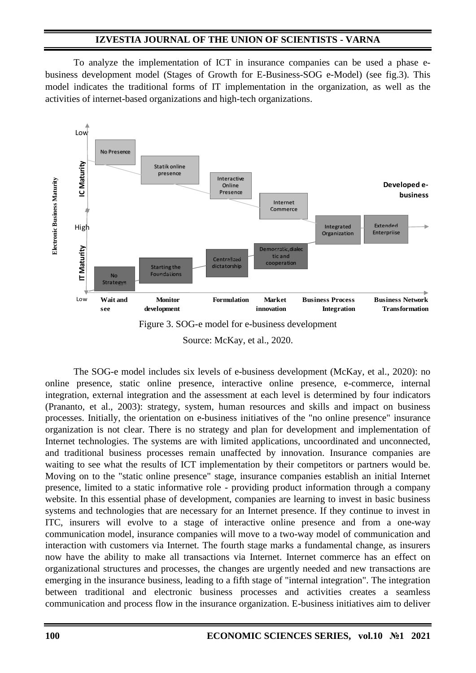To analyze the implementation of ICT in insurance companies can be used a phase ebusiness development model (Stages of Growth for E-Business-SOG e-Model) (see fig.3). This model indicates the traditional forms of IT implementation in the organization, as well as the activities of internet-based organizations and high-tech organizations.





Source: McKay, et al., 2020.

The SOG-e model includes six levels of e-business development (McKay, et al., 2020): no online presence, static online presence, interactive online presence, e-commerce, internal integration, external integration and the assessment at each level is determined by four indicators (Prananto, et al., 2003): strategy, system, human resources and skills and impact on business processes. Initially, the orientation on e-business initiatives of the "no online presence" insurance organization is not clear. There is no strategy and plan for development and implementation of Internet technologies. The systems are with limited applications, uncoordinated and unconnected, and traditional business processes remain unaffected by innovation. Insurance companies are waiting to see what the results of ICT implementation by their competitors or partners would be. Moving on to the "static online presence" stage, insurance companies establish an initial Internet presence, limited to a static informative role - providing product information through a company website. In this essential phase of development, companies are learning to invest in basic business systems and technologies that are necessary for an Internet presence. If they continue to invest in ITC, insurers will evolve to a stage of interactive online presence and from a one-way communication model, insurance companies will move to a two-way model of communication and interaction with customers via Internet. The fourth stage marks a fundamental change, as insurers now have the ability to make all transactions via Internet. Internet commerce has an effect on organizational structures and processes, the changes are urgently needed and new transactions are emerging in the insurance business, leading to a fifth stage of "internal integration". The integration between traditional and electronic business processes and activities creates a seamless communication and process flow in the insurance organization. E-business initiatives aim to deliver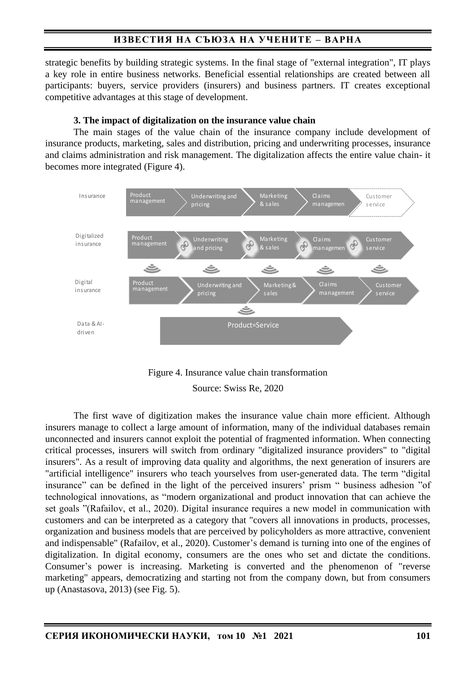# **ИЗВЕСТИЯ НА СЪЮЗА НА УЧЕНИТЕ – ВАРНА**

strategic benefits by building strategic systems. In the final stage of "external integration", IT plays a key role in entire business networks. Beneficial essential relationships are created between all participants: buyers, service providers (insurers) and business partners. IT creates exceptional competitive advantages at this stage of development.

## **3. The impact of digitalization on the insurance value chain**

The main stages of the value chain of the insurance company include development of insurance products, marketing, sales and distribution, pricing and underwriting processes, insurance and claims administration and risk management. The digitalization affects the entire value chain- it becomes more integrated (Figure 4).





Source: Swiss Re, 2020

Тhe first wave of digitization makes the insurance value chain more efficient. Although insurers manage to collect a large amount of information, many of the individual databases remain unconnected and insurers cannot exploit the potential of fragmented information. When connecting critical processes, insurers will switch from ordinary "digitalized insurance providers" to "digital insurers". As a result of improving data quality and algorithms, the next generation of insurers are "artificial intelligence" insurers who teach yourselves from user-generated data. The term "digital insurance" can be defined in the light of the perceived insurers' prism " business adhesion "of technological innovations, as "modern organizational and product innovation that can achieve the set goals "(Rafailov, et al., 2020). Digital insurance requires a new model in communication with customers and can be interpreted as a category that "covers all innovations in products, processes, organization and business models that are perceived by policyholders as more attractive, convenient and indispensable" (Rafailov, et al., 2020). Customer's demand is turning into one of the engines of digitalization. In digital economy, consumers are the ones who set and dictate the conditions. Consumer's power is increasing. Marketing is converted and the phenomenon of "reverse marketing" appears, democratizing and starting not from the company down, but from consumers up (Anastasova, 2013) (see Fig. 5).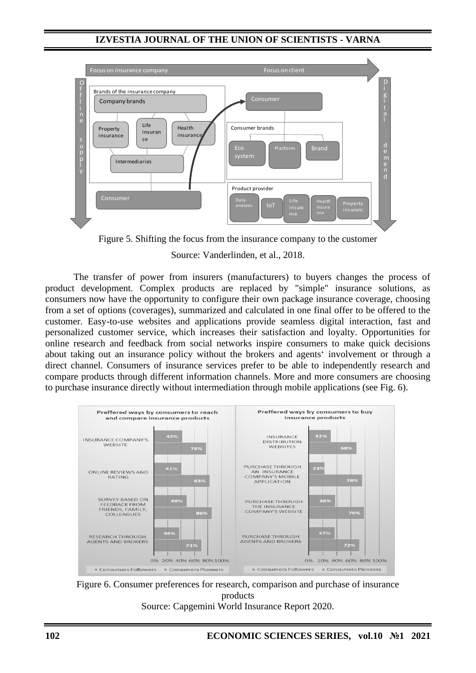

Figure 5. Shifting the focus from the insurance company to the customer Source: Vanderlinden, et al., 2018.

The transfer of power from insurers (manufacturers) to buyers changes the process of product development. Complex products are replaced by "simple" insurance solutions, as consumers now have the opportunity to configure their own package insurance coverage, choosing from a set of options (coverages), summarized and calculated in one final offer to be offered to the customer. Easy-to-use websites and applications provide seamless digital interaction, fast and personalized customer service, which increases their satisfaction and loyalty. Opportunities for online research and feedback from social networks inspire consumers to make quick decisions about taking out an insurance policy without the brokers and agents' involvement or through a direct channel. Consumers of insurance services prefer to be able to independently research and compare products through different information channels. More and more consumers are choosing to purchase insurance directly without intermediation through mobile applications (see Fig. 6).



Figure 6. Consumer preferences for research, comparison and purchase of insurance products Source: Capgemini World Insurance Report 2020.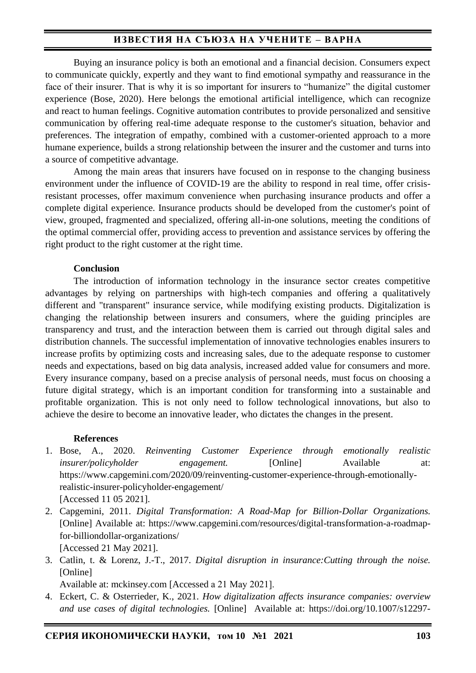# **ИЗВЕСТИЯ НА СЪЮЗА НА УЧЕНИТЕ – ВАРНА**

Buying an insurance policy is both an emotional and a financial decision. Consumers expect to communicate quickly, expertly and they want to find emotional sympathy and reassurance in the face of their insurer. That is why it is so important for insurers to "humanize" the digital customer experience (Bose, 2020). Here belongs the emotional artificial intelligence, which can recognize and react to human feelings. Cognitive automation contributes to provide personalized and sensitive communication by offering real-time adequate response to the customer's situation, behavior and preferences. The integration of empathy, combined with a customer-oriented approach to a more humane experience, builds a strong relationship between the insurer and the customer and turns into a source of competitive advantage.

Among the main areas that insurers have focused on in response to the changing business environment under the influence of COVID-19 are the ability to respond in real time, offer crisisresistant processes, offer maximum convenience when purchasing insurance products and offer a complete digital experience. Insurance products should be developed from the customer's point of view, grouped, fragmented and specialized, offering all-in-one solutions, meeting the conditions of the optimal commercial offer, providing access to prevention and assistance services by offering the right product to the right customer at the right time.

### **Conclusion**

The introduction of information technology in the insurance sector creates competitive advantages by relying on partnerships with high-tech companies and offering a qualitatively different and "transparent" insurance service, while modifying existing products. Digitalization is changing the relationship between insurers and consumers, where the guiding principles are transparency and trust, and the interaction between them is carried out through digital sales and distribution channels. The successful implementation of innovative technologies enables insurers to increase profits by optimizing costs and increasing sales, due to the adequate response to customer needs and expectations, based on big data analysis, increased added value for consumers and more. Every insurance company, based on a precise analysis of personal needs, must focus on choosing a future digital strategy, which is an important condition for transforming into a sustainable and profitable organization. This is not only need to follow technological innovations, but also to achieve the desire to become an innovative leader, who dictates the changes in the present.

### **References**

- 1. Bose, A., 2020. *Reinventing Customer Experience through emotionally realistic insurer/policyholder engagement.* [Online] Available at: https://www.capgemini.com/2020/09/reinventing-customer-experience-through-emotionallyrealistic-insurer-policyholder-engagement/ [Accessed 11 05 2021].
- 2. Capgemini, 2011. *Digital Transformation: A Road-Map for Billion-Dollar Organizations.*  [Online] Available at: https://www.capgemini.com/resources/digital-transformation-a-roadmapfor-billiondollar-organizations/ [Accessed 21 May 2021].
- 3. Catlin, t. & Lorenz, J.-T., 2017. *Digital disruption in insurance:Cutting through the noise.*  [Online]

Available at: mckinsey.com [Accessed а 21 May 2021].

4. Eckert, C. & Osterrieder, K., 2021. *How digitalization affects insurance companies: overview and use cases of digital technologies.* [Online] Available at: https://doi.org/10.1007/s12297-